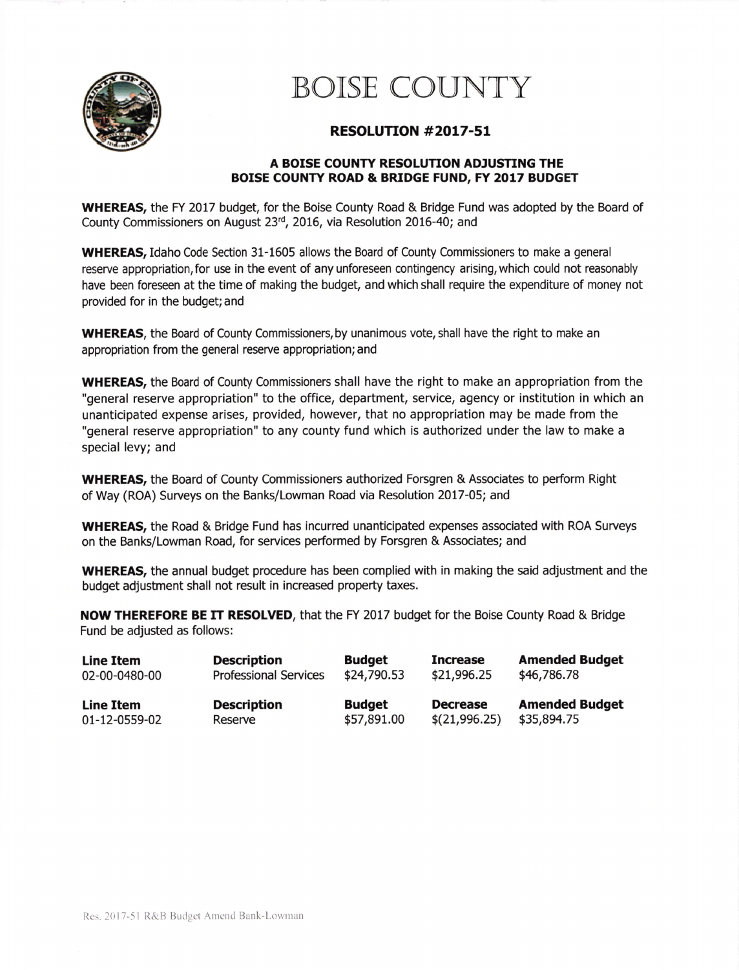

## BOISE COUNTY

## RESOLUTTON #2017-51

## A BOISE COUNTY RESOLUTION ADJUSTING THE BOISE COUNTY ROAD & BRIDGE FUND, FY 2017 BUDGET

WHEREAS, the FY 2017 budget, for the Boise County Road & Bridge Fund was adopted by the Board of County Commissioners on August 23rd, 2016, via Resolution 2016-40; and

**WHEREAS, Idaho Code Section 31-1605 allows the Board of County Commissioners to make a general** reserve appropriation, for use in the event of any unforeseen contingency arising, which could not reasonably have been foreseen at the time of making the budget, and which shall require the expenditure of money not provided for in the budget; and

**WHEREAS**, the Board of County Commissioners, by unanimous vote, shall have the right to make an appropriation from the general reserue appropriation; and

WHEREAS, the Board of County Commissioners shall have the right to make an appropriation from the "general reserve appropriation" to the office, department, service, agency or institution in which an unanticipated expense arises, provided, however, that no appropriation may be made from the "general reserve appropriation" to any county fund which is authorized under the law to make a special levy; and

WHEREAS, the Board of County Commissioners authorized Forsgren & Associates to peform Right of Way (ROA) Surueys on the Banks/Lowman Road via Resolution 2017-05; and

WHEREAS, the Road & Bridge Fund has incurred unanticipated expenses associated with ROA Surveys on the Banks/Lowman Road, for seruices performed by Forsgren & Associates; and

WHEREAS, the annual budget procedure has been complied with in making the said adjustment and the budget adjustment shall not result in increased property taxes.

NOW THEREFORE BE IT RESOLVED, that the FY 2017 budget for the Boise County Road & Bridge Fund be adjusted as follows:

| <b>Line Item</b> | <b>Description</b>           | <b>Budget</b> | <b>Increase</b> | <b>Amended Budget</b> |
|------------------|------------------------------|---------------|-----------------|-----------------------|
| 02-00-0480-00    | <b>Professional Services</b> | \$24,790.53   | \$21,996.25     | \$46,786.78           |
| Line Item        | <b>Description</b>           | <b>Budget</b> | <b>Decrease</b> | <b>Amended Budget</b> |
| 01-12-0559-02    | Reserve                      | \$57,891.00   | \$(21,996.25)   | \$35,894.75           |